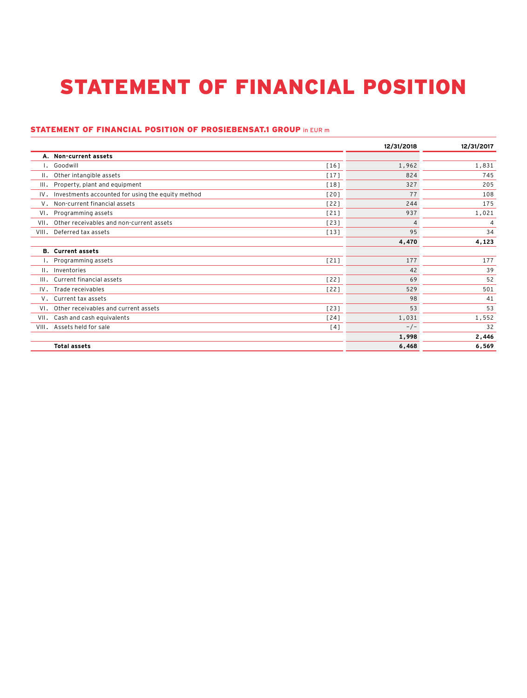## STATEMENT OF FINANCIAL POSITION STATEMENT OF FINANCIAL POSITION

## STATEMENT OF FINANCIAL POSITION OF PROSIEBENSAT.1 GROUP in EUR m

|                                                          |        | 12/31/2018 | 12/31/2017     |
|----------------------------------------------------------|--------|------------|----------------|
| A. Non-current assets                                    |        |            |                |
| I. Goodwill                                              | [16]   | 1,962      | 1,831          |
| II. Other intangible assets                              | $[17]$ | 824        | 745            |
| III.<br>Property, plant and equipment                    | [18]   | 327        | 205            |
| Investments accounted for using the equity method<br>IV. | [20]   | 77         | 108            |
| V. Non-current financial assets                          | 1221   | 244        | 175            |
| Programming assets<br>VI.                                | $[21]$ | 937        | 1,021          |
| VII.<br>Other receivables and non-current assets         | [23]   | 4          | $\overline{4}$ |
| Deferred tax assets<br>VIII.                             | $[13]$ | 95         | 34             |
|                                                          |        | 4,470      | 4,123          |
| <b>B.</b> Current assets                                 |        |            |                |
| I. Programming assets                                    | $[21]$ | 177        | 177            |
| II. Inventories                                          |        | 42         | 39             |
| Current financial assets<br>III.                         | 1221   | 69         | 52             |
| IV. Trade receivables                                    | $[22]$ | 529        | 501            |
| V. Current tax assets                                    |        | 98         | 41             |
| VI. Other receivables and current assets                 | [23]   | 53         | 53             |
| VII. Cash and cash equivalents                           | $[24]$ | 1,031      | 1,552          |
| Assets held for sale<br>VIII.                            | [4]    | $-/-$      | 32             |
|                                                          |        | 1,998      | 2,446          |
| <b>Total assets</b>                                      |        | 6,468      | 6,569          |